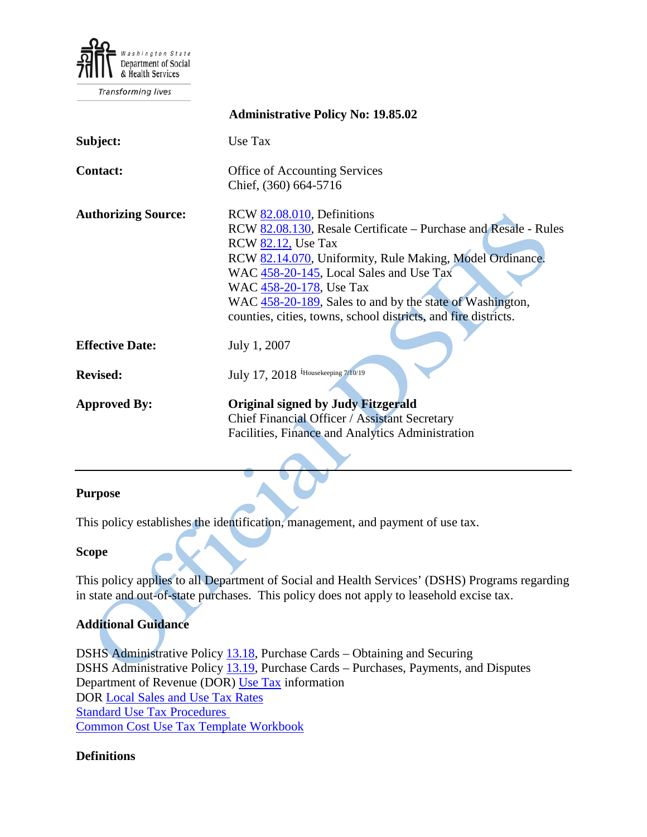

Transforming lives

|                            | <b>Administrative Policy No: 19.85.02</b>                                                                                                                                                                                                                                                                                                                                                  |
|----------------------------|--------------------------------------------------------------------------------------------------------------------------------------------------------------------------------------------------------------------------------------------------------------------------------------------------------------------------------------------------------------------------------------------|
| Subject:                   | Use Tax                                                                                                                                                                                                                                                                                                                                                                                    |
| <b>Contact:</b>            | <b>Office of Accounting Services</b><br>Chief, (360) 664-5716                                                                                                                                                                                                                                                                                                                              |
| <b>Authorizing Source:</b> | RCW 82.08.010, Definitions<br>RCW 82.08.130, Resale Certificate – Purchase and Resale - Rules<br><b>RCW 82.12, Use Tax</b><br>RCW 82.14.070, Uniformity, Rule Making, Model Ordinance.<br>WAC 458-20-145, Local Sales and Use Tax<br>WAC 458-20-178, Use Tax<br>WAC 458-20-189, Sales to and by the state of Washington,<br>counties, cities, towns, school districts, and fire districts. |
| <b>Effective Date:</b>     | July 1, 2007                                                                                                                                                                                                                                                                                                                                                                               |
| <b>Revised:</b>            | July 17, 2018 <sup>i</sup> Housekeeping 7/10/19                                                                                                                                                                                                                                                                                                                                            |
| <b>Approved By:</b>        | <b>Original signed by Judy Fitzgerald</b><br>Chief Financial Officer / Assistant Secretary<br>Facilities, Finance and Analytics Administration                                                                                                                                                                                                                                             |

#### **Purpose**

This policy establishes the identification, management, and payment of use tax.

#### **Scope**

This policy applies to all Department of Social and Health Services' (DSHS) Programs regarding in state and out-of-state purchases. This policy does not apply to leasehold excise tax.

# **Additional Guidance**

DSHS Administrative Policy [13.18,](http://one.dshs.wa.lcl/Policies/Administrative/DSHS-AP-13-18.pdf) Purchase Cards – Obtaining and Securing DSHS Administrative Policy [13.19,](http://one.dshs.wa.lcl/Policies/Administrative/DSHS-AP-13-19.pdf) Purchase Cards – Purchases, Payments, and Disputes Department of Revenue (DOR) [Use Tax](http://dor.wa.gov/content/findtaxesandrates/usetax/default.aspx) information DOR [Local Sales and Use Tax Rates](http://dor.wa.gov/Docs/forms/ExcsTx/LocSalUseTx/LocalSlsUseFlyer_Quarterly.pdf) [Standard Use Tax Procedures](file://dshs/fsa/KDRIVE/OAS%20Managers/APMB/Policy%2085.02%20Use%20Tax/2018/Standard%20Use%20Tax%20Procedures.docx) [Common Cost Use Tax Template Workbook](file://dshs/fsa/KDRIVE/OAS%20Managers/APMB/Policy%2085.02%20Use%20Tax/2018/Common%20Cost%20Use%20Tax%20Template.xlsm)

## **Definitions**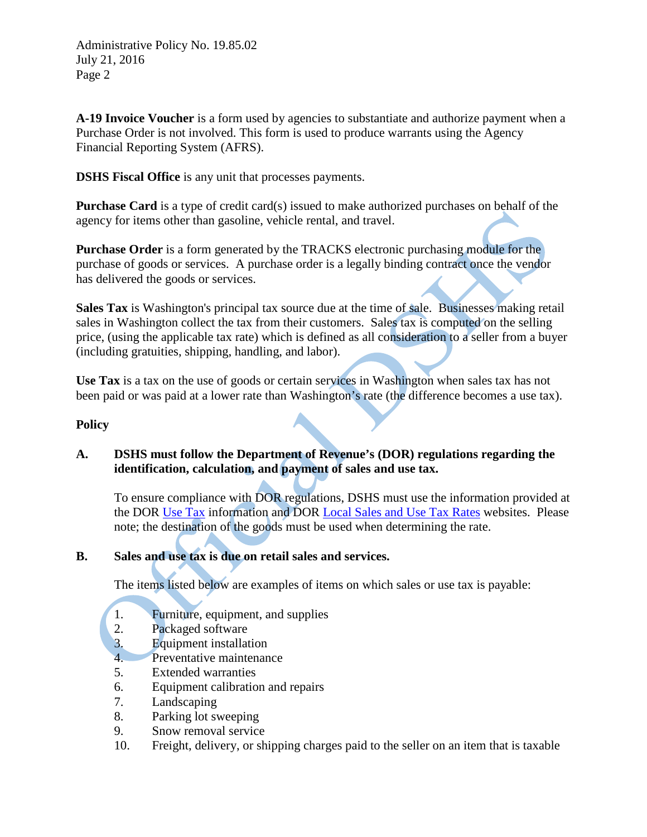Administrative Policy No. 19.85.02 July 21, 2016 Page 2

**A-19 Invoice Voucher** is a form used by agencies to substantiate and authorize payment when a Purchase Order is not involved. This form is used to produce warrants using the Agency Financial Reporting System (AFRS).

**DSHS Fiscal Office** is any unit that processes payments.

**Purchase Card** is a type of credit card(s) issued to make authorized purchases on behalf of the agency for items other than gasoline, vehicle rental, and travel.

**Purchase Order** is a form generated by the TRACKS electronic purchasing module for the purchase of goods or services. A purchase order is a legally binding contract once the vendor has delivered the goods or services.

**Sales Tax** is Washington's principal tax source due at the time of sale. Businesses making retail sales in Washington collect the tax from their customers. Sales tax is computed on the selling price, (using the applicable tax rate) which is defined as all consideration to a seller from a buyer (including gratuities, shipping, handling, and labor).

**Use Tax** is a tax on the use of goods or certain services in Washington when sales tax has not been paid or was paid at a lower rate than Washington's rate (the difference becomes a use tax).

### **Policy**

## **A. DSHS must follow the Department of Revenue's (DOR) regulations regarding the identification, calculation, and payment of sales and use tax.**

To ensure compliance with DOR regulations, DSHS must use the information provided at the DOR [Use Tax](http://dor.wa.gov/content/findtaxesandrates/usetax/default.aspx) information and DOR [Local Sales and Use Tax Rates](http://dor.wa.gov/Docs/forms/ExcsTx/LocSalUseTx/LocalSlsUseFlyer_Quarterly.pdf) websites. Please note; the destination of the goods must be used when determining the rate.

## **B. Sales and use tax is due on retail sales and services.**

The items listed below are examples of items on which sales or use tax is payable:

- 1. Furniture, equipment, and supplies
- 2. Packaged software
- 3. Equipment installation
- 4. Preventative maintenance
- 5. Extended warranties
- 6. Equipment calibration and repairs
- 7. Landscaping
- 8. Parking lot sweeping
- 9. Snow removal service
- 10. Freight, delivery, or shipping charges paid to the seller on an item that is taxable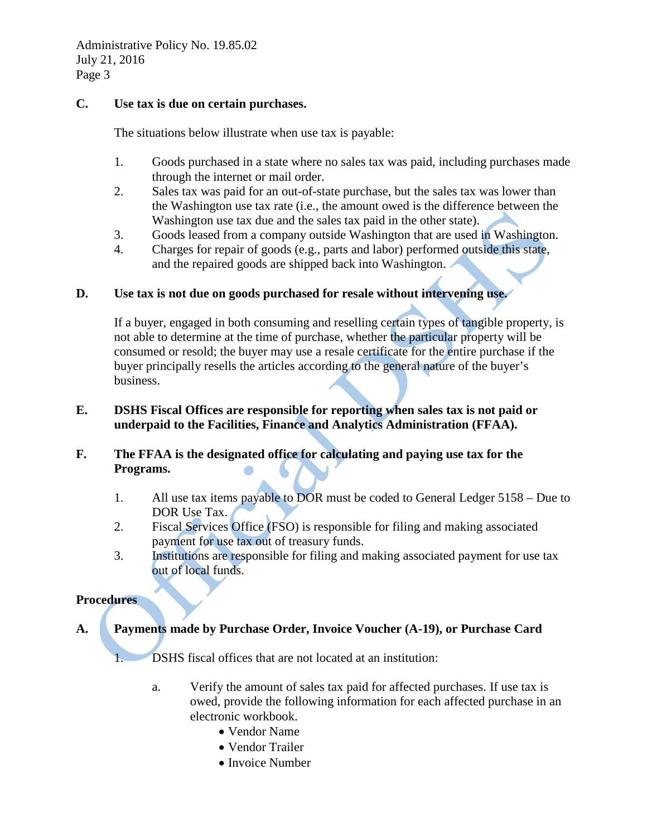### **C. Use tax is due on certain purchases.**

The situations below illustrate when use tax is payable:

- 1. Goods purchased in a state where no sales tax was paid, including purchases made through the internet or mail order.
- 2. Sales tax was paid for an out-of-state purchase, but the sales tax was lower than the Washington use tax rate (i.e., the amount owed is the difference between the Washington use tax due and the sales tax paid in the other state).
- 3. Goods leased from a company outside Washington that are used in Washington.
- 4. Charges for repair of goods (e.g., parts and labor) performed outside this state, and the repaired goods are shipped back into Washington.

### **D. Use tax is not due on goods purchased for resale without intervening use.**

If a buyer, engaged in both consuming and reselling certain types of tangible property, is not able to determine at the time of purchase, whether the particular property will be consumed or resold; the buyer may use a resale certificate for the entire purchase if the buyer principally resells the articles according to the general nature of the buyer's business.

### **E. DSHS Fiscal Offices are responsible for reporting when sales tax is not paid or underpaid to the Facilities, Finance and Analytics Administration (FFAA).**

## **F. The FFAA is the designated office for calculating and paying use tax for the Programs.**

- 1. All use tax items payable to DOR must be coded to General Ledger 5158 Due to DOR Use Tax.
- 2. Fiscal Services Office (FSO) is responsible for filing and making associated payment for use tax out of treasury funds.
- 3. Institutions are responsible for filing and making associated payment for use tax out of local funds.

#### **Procedures**

# **A. Payments made by Purchase Order, Invoice Voucher (A-19), or Purchase Card**

1. DSHS fiscal offices that are not located at an institution:

- a. Verify the amount of sales tax paid for affected purchases. If use tax is owed, provide the following information for each affected purchase in an electronic workbook.
	- Vendor Name
	- Vendor Trailer
	- Invoice Number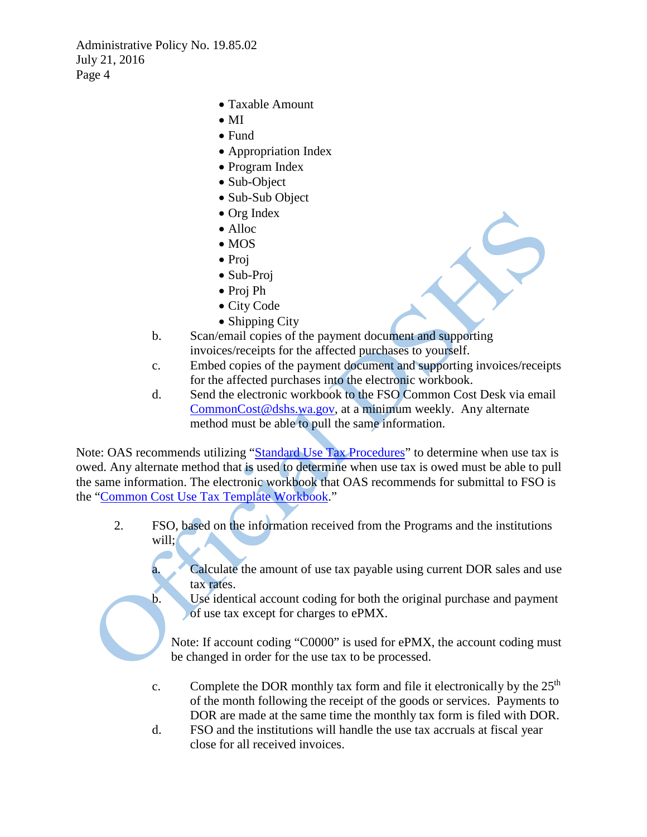Administrative Policy No. 19.85.02 July 21, 2016 Page 4

- Taxable Amount
- MI
- Fund
- Appropriation Index
- Program Index
- Sub-Object
- Sub-Sub Object
- Org Index
- Alloc
- MOS
- Proj
- Sub-Proj
- Proj Ph
- City Code
- Shipping City
- b. Scan/email copies of the payment document and supporting invoices/receipts for the affected purchases to yourself.
- c. Embed copies of the payment document and supporting invoices/receipts for the affected purchases into the electronic workbook.
- d. Send the electronic workbook to the FSO Common Cost Desk via email [CommonCost@dshs.wa.gov,](mailto:CommonCost@dshs.wa.gov) at a minimum weekly. Any alternate method must be able to pull the same information.

Note: OAS recommends utilizing ["Standard Use Tax Procedures"](file://dshs/fsa/KDRIVE/OAS%20Managers/APMB/Policy%2085.02%20Use%20Tax/2018/Standard%20Use%20Tax%20Procedures.docx) to determine when use tax is owed. Any alternate method that is used to determine when use tax is owed must be able to pull the same information. The electronic workbook that OAS recommends for submittal to FSO is the ["Common Cost Use Tax Template Workbook.](file://dshs/fsa/KDRIVE/OAS%20Managers/APMB/Policy%2085.02%20Use%20Tax/2018/Common%20Cost%20Use%20Tax%20Template.xlsm)"

- 2. FSO, based on the information received from the Programs and the institutions will;
	- Calculate the amount of use tax payable using current DOR sales and use tax rates.
	- b. Use identical account coding for both the original purchase and payment of use tax except for charges to ePMX.

Note: If account coding "C0000" is used for ePMX, the account coding must be changed in order for the use tax to be processed.

- c. Complete the DOR monthly tax form and file it electronically by the  $25<sup>th</sup>$ of the month following the receipt of the goods or services. Payments to DOR are made at the same time the monthly tax form is filed with DOR.
- d. FSO and the institutions will handle the use tax accruals at fiscal year close for all received invoices.